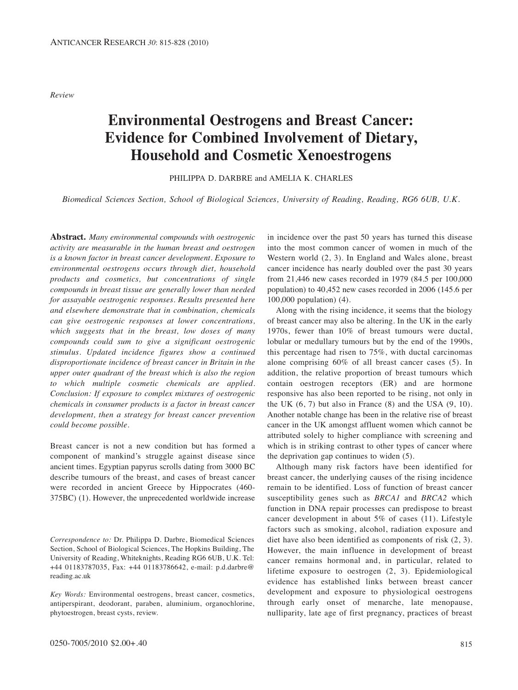*Review*

# **Environmental Oestrogens and Breast Cancer: Evidence for Combined Involvement of Dietary, Household and Cosmetic Xenoestrogens**

PHILIPPA D. DARBRE and AMELIA K. CHARLES

*Biomedical Sciences Section, School of Biological Sciences, University of Reading, Reading, RG6 6UB, U.K.*

**Abstract.** *Many environmental compounds with oestrogenic activity are measurable in the human breast and oestrogen is a known factor in breast cancer development. Exposure to environmental oestrogens occurs through diet, household products and cosmetics, but concentrations of single compounds in breast tissue are generally lower than needed for assayable oestrogenic responses. Results presented here and elsewhere demonstrate that in combination, chemicals can give oestrogenic responses at lower concentrations, which suggests that in the breast, low doses of many compounds could sum to give a significant oestrogenic stimulus. Updated incidence figures show a continued disproportionate incidence of breast cancer in Britain in the upper outer quadrant of the breast which is also the region to which multiple cosmetic chemicals are applied. Conclusion: If exposure to complex mixtures of oestrogenic chemicals in consumer products is a factor in breast cancer development, then a strategy for breast cancer prevention could become possible.*

Breast cancer is not a new condition but has formed a component of mankind's struggle against disease since ancient times. Egyptian papyrus scrolls dating from 3000 BC describe tumours of the breast, and cases of breast cancer were recorded in ancient Greece by Hippocrates (460- 375BC) (1). However, the unprecedented worldwide increase

*Correspondence to:* Dr. Philippa D. Darbre, Biomedical Sciences Section, School of Biological Sciences, The Hopkins Building, The University of Reading, Whiteknights, Reading RG6 6UB, U.K. Tel: +44 01183787035, Fax: +44 01183786642, e-mail: p.d.darbre@ reading.ac.uk

*Key Words:* Environmental oestrogens, breast cancer, cosmetics, antiperspirant, deodorant, paraben, aluminium, organochlorine, phytoestrogen, breast cysts, review.

in incidence over the past 50 years has turned this disease into the most common cancer of women in much of the Western world (2, 3). In England and Wales alone, breast cancer incidence has nearly doubled over the past 30 years from 21,446 new cases recorded in 1979 (84.5 per 100,000 population) to 40,452 new cases recorded in 2006 (145.6 per 100,000 population) (4).

Along with the rising incidence, it seems that the biology of breast cancer may also be altering. In the UK in the early 1970s, fewer than 10% of breast tumours were ductal, lobular or medullary tumours but by the end of the 1990s, this percentage had risen to 75%, with ductal carcinomas alone comprising 60% of all breast cancer cases (5). In addition, the relative proportion of breast tumours which contain oestrogen receptors (ER) and are hormone responsive has also been reported to be rising, not only in the UK  $(6, 7)$  but also in France  $(8)$  and the USA  $(9, 10)$ . Another notable change has been in the relative rise of breast cancer in the UK amongst affluent women which cannot be attributed solely to higher compliance with screening and which is in striking contrast to other types of cancer where the deprivation gap continues to widen (5).

Although many risk factors have been identified for breast cancer, the underlying causes of the rising incidence remain to be identified. Loss of function of breast cancer susceptibility genes such as *BRCA1* and *BRCA2* which function in DNA repair processes can predispose to breast cancer development in about 5% of cases (11). Lifestyle factors such as smoking, alcohol, radiation exposure and diet have also been identified as components of risk (2, 3). However, the main influence in development of breast cancer remains hormonal and, in particular, related to lifetime exposure to oestrogen (2, 3). Epidemiological evidence has established links between breast cancer development and exposure to physiological oestrogens through early onset of menarche, late menopause, nulliparity, late age of first pregnancy, practices of breast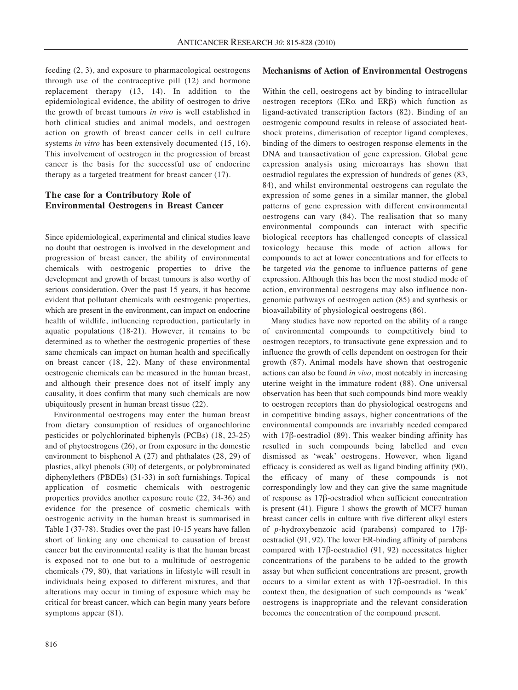feeding (2, 3), and exposure to pharmacological oestrogens through use of the contraceptive pill (12) and hormone replacement therapy (13, 14). In addition to the epidemiological evidence, the ability of oestrogen to drive the growth of breast tumours *in vivo* is well established in both clinical studies and animal models, and oestrogen action on growth of breast cancer cells in cell culture systems *in vitro* has been extensively documented (15, 16). This involvement of oestrogen in the progression of breast cancer is the basis for the successful use of endocrine therapy as a targeted treatment for breast cancer (17).

# **The case for a Contributory Role of Environmental Oestrogens in Breast Cancer**

Since epidemiological, experimental and clinical studies leave no doubt that oestrogen is involved in the development and progression of breast cancer, the ability of environmental chemicals with oestrogenic properties to drive the development and growth of breast tumours is also worthy of serious consideration. Over the past 15 years, it has become evident that pollutant chemicals with oestrogenic properties, which are present in the environment, can impact on endocrine health of wildlife, influencing reproduction, particularly in aquatic populations (18-21). However, it remains to be determined as to whether the oestrogenic properties of these same chemicals can impact on human health and specifically on breast cancer (18, 22). Many of these environmental oestrogenic chemicals can be measured in the human breast, and although their presence does not of itself imply any causality, it does confirm that many such chemicals are now ubiquitously present in human breast tissue (22).

Environmental oestrogens may enter the human breast from dietary consumption of residues of organochlorine pesticides or polychlorinated biphenyls (PCBs) (18, 23-25) and of phytoestrogens (26), or from exposure in the domestic environment to bisphenol A (27) and phthalates (28, 29) of plastics, alkyl phenols (30) of detergents, or polybrominated diphenylethers (PBDEs) (31-33) in soft furnishings. Topical application of cosmetic chemicals with oestrogenic properties provides another exposure route (22, 34-36) and evidence for the presence of cosmetic chemicals with oestrogenic activity in the human breast is summarised in Table I (37-78). Studies over the past 10-15 years have fallen short of linking any one chemical to causation of breast cancer but the environmental reality is that the human breast is exposed not to one but to a multitude of oestrogenic chemicals (79, 80), that variations in lifestyle will result in individuals being exposed to different mixtures, and that alterations may occur in timing of exposure which may be critical for breast cancer, which can begin many years before symptoms appear (81).

#### **Mechanisms of Action of Environmental Oestrogens**

Within the cell, oestrogens act by binding to intracellular oestrogen receptors (ERα and ERβ) which function as ligand-activated transcription factors (82). Binding of an oestrogenic compound results in release of associated heatshock proteins, dimerisation of receptor ligand complexes, binding of the dimers to oestrogen response elements in the DNA and transactivation of gene expression. Global gene expression analysis using microarrays has shown that oestradiol regulates the expression of hundreds of genes (83, 84), and whilst environmental oestrogens can regulate the expression of some genes in a similar manner, the global patterns of gene expression with different environmental oestrogens can vary (84). The realisation that so many environmental compounds can interact with specific biological receptors has challenged concepts of classical toxicology because this mode of action allows for compounds to act at lower concentrations and for effects to be targeted *via* the genome to influence patterns of gene expression. Although this has been the most studied mode of action, environmental oestrogens may also influence nongenomic pathways of oestrogen action (85) and synthesis or bioavailability of physiological oestrogens (86).

Many studies have now reported on the ability of a range of environmental compounds to competitively bind to oestrogen receptors, to transactivate gene expression and to influence the growth of cells dependent on oestrogen for their growth (87). Animal models have shown that oestrogenic actions can also be found *in vivo*, most noteably in increasing uterine weight in the immature rodent (88). One universal observation has been that such compounds bind more weakly to oestrogen receptors than do physiological oestrogens and in competitive binding assays, higher concentrations of the environmental compounds are invariably needed compared with  $17\beta$ -oestradiol (89). This weaker binding affinity has resulted in such compounds being labelled and even dismissed as 'weak' oestrogens. However, when ligand efficacy is considered as well as ligand binding affinity (90), the efficacy of many of these compounds is not correspondingly low and they can give the same magnitude of response as 17β-oestradiol when sufficient concentration is present (41). Figure 1 shows the growth of MCF7 human breast cancer cells in culture with five different alkyl esters of *p*-hydroxybenzoic acid (parabens) compared to 17βoestradiol (91, 92). The lower ER-binding affinity of parabens compared with 17β-oestradiol (91, 92) necessitates higher concentrations of the parabens to be added to the growth assay but when sufficient concentrations are present, growth occurs to a similar extent as with 17β-oestradiol. In this context then, the designation of such compounds as 'weak' oestrogens is inappropriate and the relevant consideration becomes the concentration of the compound present.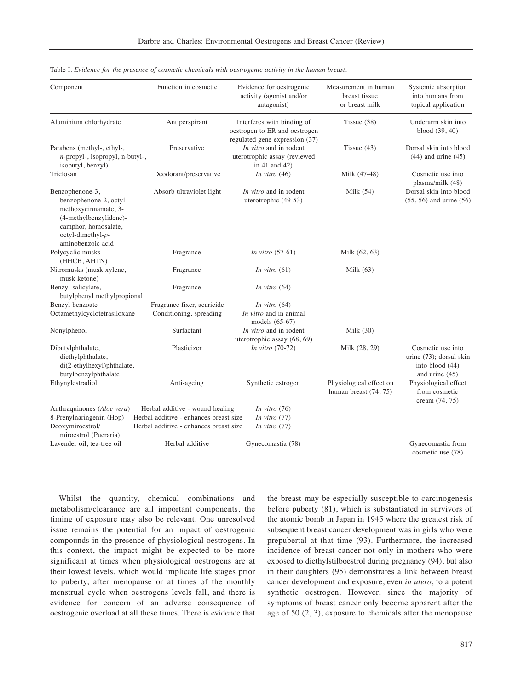| Component                                                                                                                                                            | Function in cosmetic                                                                                                | Evidence for oestrogenic<br>activity (agonist and/or<br>antagonist)                                       | Measurement in human<br>breast tissue<br>or breast milk | Systemic absorption<br>into humans from<br>topical application                    |
|----------------------------------------------------------------------------------------------------------------------------------------------------------------------|---------------------------------------------------------------------------------------------------------------------|-----------------------------------------------------------------------------------------------------------|---------------------------------------------------------|-----------------------------------------------------------------------------------|
| Aluminium chlorhydrate                                                                                                                                               | Antiperspirant                                                                                                      | Interferes with binding of<br>oestrogen to ER and oestrogen                                               | Tissue $(38)$                                           | Underarm skin into<br>blood (39, 40)                                              |
| Parabens (methyl-, ethyl-,<br>$n$ -propyl-, isopropyl, n-butyl-,<br>isobutyl, benzyl)                                                                                | Preservative                                                                                                        | regulated gene expression (37)<br>In vitro and in rodent<br>uterotrophic assay (reviewed<br>in 41 and 42) | Tissue $(43)$                                           | Dorsal skin into blood<br>$(44)$ and urine $(45)$                                 |
| Triclosan                                                                                                                                                            | Deodorant/preservative                                                                                              | In vitro $(46)$                                                                                           | Milk (47-48)                                            | Cosmetic use into<br>plasma/milk (48)                                             |
| Benzophenone-3,<br>benzophenone-2, octyl-<br>methoxycinnamate, 3-<br>(4-methylbenzylidene)-<br>camphor, homosalate,<br>$octyl$ -dimethyl- $p$ -<br>aminobenzoic acid | Absorb ultraviolet light                                                                                            | In vitro and in rodent<br>uterotrophic (49-53)                                                            | Milk $(54)$                                             | Dorsal skin into blood<br>$(55, 56)$ and urine $(56)$                             |
| Polycyclic musks<br>(HHCB, AHTN)                                                                                                                                     | Fragrance                                                                                                           | In vitro $(57-61)$                                                                                        | Milk (62, 63)                                           |                                                                                   |
| Nitromusks (musk xylene,<br>musk ketone)                                                                                                                             | Fragrance                                                                                                           | In vitro $(61)$                                                                                           | Milk $(63)$                                             |                                                                                   |
| Benzyl salicylate,<br>butylphenyl methylpropional                                                                                                                    | Fragrance                                                                                                           | In vitro $(64)$                                                                                           |                                                         |                                                                                   |
| Benzyl benzoate                                                                                                                                                      | Fragrance fixer, acaricide                                                                                          | In vitro $(64)$                                                                                           |                                                         |                                                                                   |
| Octamethylcyclotetrasiloxane                                                                                                                                         | Conditioning, spreading                                                                                             | In vitro and in animal<br>models (65-67)                                                                  |                                                         |                                                                                   |
| Nonylphenol                                                                                                                                                          | Surfactant                                                                                                          | In vitro and in rodent<br>uterotrophic assay (68, 69)                                                     | Milk $(30)$                                             |                                                                                   |
| Dibutylphthalate,<br>diethylphthalate,<br>di(2-ethylhexyl)phthalate,<br>butylbenzylphthalate                                                                         | Plasticizer                                                                                                         | In vitro $(70-72)$                                                                                        | Milk (28, 29)                                           | Cosmetic use into<br>urine (73); dorsal skin<br>into blood (44)<br>and urine (45) |
| Ethynylestradiol                                                                                                                                                     | Anti-ageing                                                                                                         | Synthetic estrogen                                                                                        | Physiological effect on<br>human breast (74, 75)        | Physiological effect<br>from cosmetic<br>cream (74, 75)                           |
| Anthraquinones (Aloe vera)<br>8-Prenylnaringenin (Hop)<br>Deoxymiroestrol/                                                                                           | Herbal additive - wound healing<br>Herbal additive - enhances breast size<br>Herbal additive - enhances breast size | In vitro $(76)$<br>In vitro $(77)$<br>In vitro $(77)$                                                     |                                                         |                                                                                   |
| miroestrol (Pueraria)<br>Lavender oil, tea-tree oil                                                                                                                  | Herbal additive                                                                                                     | Gynecomastia (78)                                                                                         |                                                         | Gynecomastia from<br>cosmetic use (78)                                            |

Table I. *Evidence for the presence of cosmetic chemicals with oestrogenic activity in the human breast.*

Whilst the quantity, chemical combinations and metabolism/clearance are all important components, the timing of exposure may also be relevant. One unresolved issue remains the potential for an impact of oestrogenic compounds in the presence of physiological oestrogens. In this context, the impact might be expected to be more significant at times when physiological oestrogens are at their lowest levels, which would implicate life stages prior to puberty, after menopause or at times of the monthly menstrual cycle when oestrogens levels fall, and there is evidence for concern of an adverse consequence of oestrogenic overload at all these times. There is evidence that the breast may be especially susceptible to carcinogenesis before puberty (81), which is substantiated in survivors of the atomic bomb in Japan in 1945 where the greatest risk of subsequent breast cancer development was in girls who were prepubertal at that time (93). Furthermore, the increased incidence of breast cancer not only in mothers who were exposed to diethylstilboestrol during pregnancy (94), but also in their daughters (95) demonstrates a link between breast cancer development and exposure, even *in utero*, to a potent synthetic oestrogen. However, since the majority of symptoms of breast cancer only become apparent after the age of 50 (2, 3), exposure to chemicals after the menopause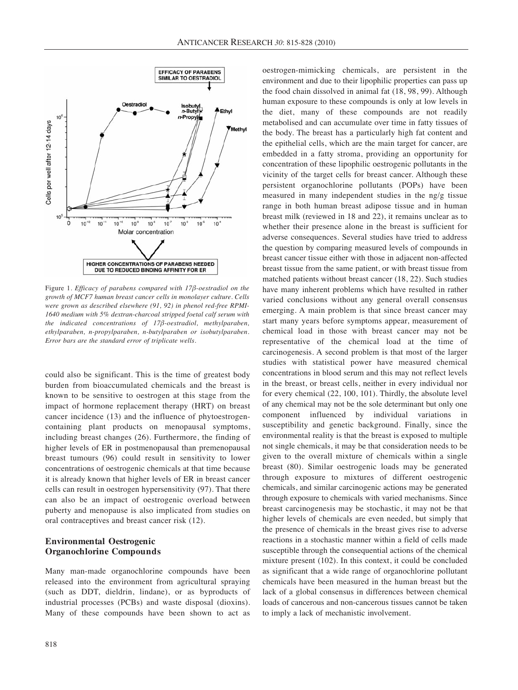

Figure 1. *Efficacy of parabens compared with 17β-oestradiol on the growth of MCF7 human breast cancer cells in monolayer culture. Cells were grown as described elsewhere (91, 92) in phenol red-free RPMI-1640 medium with 5% dextran-charcoal stripped foetal calf serum with the indicated concentrations of 17β-oestradiol, methylparaben, ethylparaben, n-propylparaben, n-butylparaben or isobutylparaben. Error bars are the standard error of triplicate wells.*

could also be significant. This is the time of greatest body burden from bioaccumulated chemicals and the breast is known to be sensitive to oestrogen at this stage from the impact of hormone replacement therapy (HRT) on breast cancer incidence (13) and the influence of phytoestrogencontaining plant products on menopausal symptoms, including breast changes (26). Furthermore, the finding of higher levels of ER in postmenopausal than premenopausal breast tumours (96) could result in sensitivity to lower concentrations of oestrogenic chemicals at that time because it is already known that higher levels of ER in breast cancer cells can result in oestrogen hypersensitivity (97). That there can also be an impact of oestrogenic overload between puberty and menopause is also implicated from studies on oral contraceptives and breast cancer risk (12).

## **Environmental Oestrogenic Organochlorine Compounds**

Many man-made organochlorine compounds have been released into the environment from agricultural spraying (such as DDT, dieldrin, lindane), or as byproducts of industrial processes (PCBs) and waste disposal (dioxins). Many of these compounds have been shown to act as oestrogen-mimicking chemicals, are persistent in the environment and due to their lipophilic properties can pass up the food chain dissolved in animal fat (18, 98, 99). Although human exposure to these compounds is only at low levels in the diet, many of these compounds are not readily metabolised and can accumulate over time in fatty tissues of the body. The breast has a particularly high fat content and the epithelial cells, which are the main target for cancer, are embedded in a fatty stroma, providing an opportunity for concentration of these lipophilic oestrogenic pollutants in the vicinity of the target cells for breast cancer. Although these persistent organochlorine pollutants (POPs) have been measured in many independent studies in the ng/g tissue range in both human breast adipose tissue and in human breast milk (reviewed in 18 and 22), it remains unclear as to whether their presence alone in the breast is sufficient for adverse consequences. Several studies have tried to address the question by comparing measured levels of compounds in breast cancer tissue either with those in adjacent non-affected breast tissue from the same patient, or with breast tissue from matched patients without breast cancer (18, 22). Such studies have many inherent problems which have resulted in rather varied conclusions without any general overall consensus emerging. A main problem is that since breast cancer may start many years before symptoms appear, measurement of chemical load in those with breast cancer may not be representative of the chemical load at the time of carcinogenesis. A second problem is that most of the larger studies with statistical power have measured chemical concentrations in blood serum and this may not reflect levels in the breast, or breast cells, neither in every individual nor for every chemical (22, 100, 101). Thirdly, the absolute level of any chemical may not be the sole determinant but only one component influenced by individual variations in susceptibility and genetic background. Finally, since the environmental reality is that the breast is exposed to multiple not single chemicals, it may be that consideration needs to be given to the overall mixture of chemicals within a single breast (80). Similar oestrogenic loads may be generated through exposure to mixtures of different oestrogenic chemicals, and similar carcinogenic actions may be generated through exposure to chemicals with varied mechanisms. Since breast carcinogenesis may be stochastic, it may not be that higher levels of chemicals are even needed, but simply that the presence of chemicals in the breast gives rise to adverse reactions in a stochastic manner within a field of cells made susceptible through the consequential actions of the chemical mixture present (102). In this context, it could be concluded as significant that a wide range of organochlorine pollutant chemicals have been measured in the human breast but the lack of a global consensus in differences between chemical loads of cancerous and non-cancerous tissues cannot be taken to imply a lack of mechanistic involvement.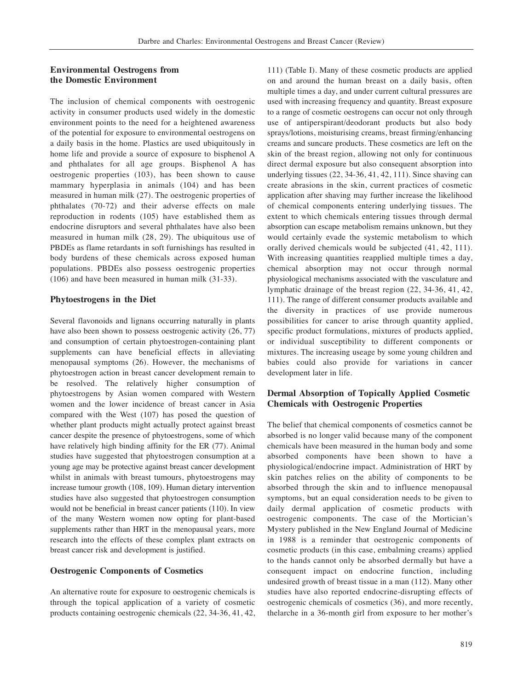# **Environmental Oestrogens from the Domestic Environment**

The inclusion of chemical components with oestrogenic activity in consumer products used widely in the domestic environment points to the need for a heightened awareness of the potential for exposure to environmental oestrogens on a daily basis in the home. Plastics are used ubiquitously in home life and provide a source of exposure to bisphenol A and phthalates for all age groups. Bisphenol A has oestrogenic properties (103), has been shown to cause mammary hyperplasia in animals (104) and has been measured in human milk (27). The oestrogenic properties of phthalates (70-72) and their adverse effects on male reproduction in rodents (105) have established them as endocrine disruptors and several phthalates have also been measured in human milk (28, 29). The ubiquitous use of PBDEs as flame retardants in soft furnishings has resulted in body burdens of these chemicals across exposed human populations. PBDEs also possess oestrogenic properties (106) and have been measured in human milk (31-33).

## **Phytoestrogens in the Diet**

Several flavonoids and lignans occurring naturally in plants have also been shown to possess oestrogenic activity  $(26, 77)$ and consumption of certain phytoestrogen-containing plant supplements can have beneficial effects in alleviating menopausal symptoms (26). However, the mechanisms of phytoestrogen action in breast cancer development remain to be resolved. The relatively higher consumption of phytoestrogens by Asian women compared with Western women and the lower incidence of breast cancer in Asia compared with the West (107) has posed the question of whether plant products might actually protect against breast cancer despite the presence of phytoestrogens, some of which have relatively high binding affinity for the ER (77). Animal studies have suggested that phytoestrogen consumption at a young age may be protective against breast cancer development whilst in animals with breast tumours, phytoestrogens may increase tumour growth (108, 109). Human dietary intervention studies have also suggested that phytoestrogen consumption would not be beneficial in breast cancer patients (110). In view of the many Western women now opting for plant-based supplements rather than HRT in the menopausal years, more research into the effects of these complex plant extracts on breast cancer risk and development is justified.

## **Oestrogenic Components of Cosmetics**

An alternative route for exposure to oestrogenic chemicals is through the topical application of a variety of cosmetic products containing oestrogenic chemicals (22, 34-36, 41, 42,

111) (Table I). Many of these cosmetic products are applied on and around the human breast on a daily basis, often multiple times a day, and under current cultural pressures are used with increasing frequency and quantity. Breast exposure to a range of cosmetic oestrogens can occur not only through use of antiperspirant/deodorant products but also body sprays/lotions, moisturising creams, breast firming/enhancing creams and suncare products. These cosmetics are left on the skin of the breast region, allowing not only for continuous direct dermal exposure but also consequent absorption into underlying tissues (22, 34-36, 41, 42, 111). Since shaving can create abrasions in the skin, current practices of cosmetic application after shaving may further increase the likelihood of chemical components entering underlying tissues. The extent to which chemicals entering tissues through dermal absorption can escape metabolism remains unknown, but they would certainly evade the systemic metabolism to which orally derived chemicals would be subjected (41, 42, 111). With increasing quantities reapplied multiple times a day, chemical absorption may not occur through normal physiological mechanisms associated with the vasculature and lymphatic drainage of the breast region (22, 34-36, 41, 42, 111). The range of different consumer products available and the diversity in practices of use provide numerous possibilities for cancer to arise through quantity applied, specific product formulations, mixtures of products applied, or individual susceptibility to different components or mixtures. The increasing useage by some young children and babies could also provide for variations in cancer development later in life.

# **Dermal Absorption of Topically Applied Cosmetic Chemicals with Oestrogenic Properties**

The belief that chemical components of cosmetics cannot be absorbed is no longer valid because many of the component chemicals have been measured in the human body and some absorbed components have been shown to have a physiological/endocrine impact. Administration of HRT by skin patches relies on the ability of components to be absorbed through the skin and to influence menopausal symptoms, but an equal consideration needs to be given to daily dermal application of cosmetic products with oestrogenic components. The case of the Mortician's Mystery published in the New England Journal of Medicine in 1988 is a reminder that oestrogenic components of cosmetic products (in this case, embalming creams) applied to the hands cannot only be absorbed dermally but have a consequent impact on endocrine function, including undesired growth of breast tissue in a man (112). Many other studies have also reported endocrine-disrupting effects of oestrogenic chemicals of cosmetics (36), and more recently, thelarche in a 36-month girl from exposure to her mother's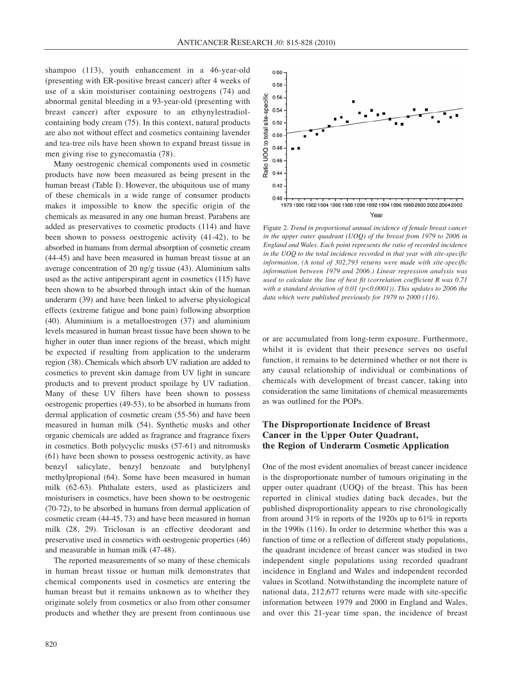shampoo (113), youth enhancement in a 46-year-old (presenting with ER-positive breast cancer) after 4 weeks of use of a skin moisturiser containing oestrogens (74) and abnormal genital bleeding in a 93-year-old (presenting with breast cancer) after exposure to an ethynylestradiolcontaining body cream (75). In this context, natural products are also not without effect and cosmetics containing lavender and tea-tree oils have been shown to expand breast tissue in men giving rise to gynecomastia (78).

Many oestrogenic chemical components used in cosmetic products have now been measured as being present in the human breast (Table I). However, the ubiquitous use of many of these chemicals in a wide range of consumer products makes it impossible to know the specific origin of the chemicals as measured in any one human breast. Parabens are added as preservatives to cosmetic products (114) and have been shown to possess oestrogenic activity (41-42), to be absorbed in humans from dermal absorption of cosmetic cream (44-45) and have been measured in human breast tissue at an average concentration of 20 ng/g tissue (43). Aluminium salts used as the active antiperspirant agent in cosmetics (115) have been shown to be absorbed through intact skin of the human underarm (39) and have been linked to adverse physiological effects (extreme fatigue and bone pain) following absorption (40). Aluminium is a metalloestrogen (37) and aluminium levels measured in human breast tissue have been shown to be higher in outer than inner regions of the breast, which might be expected if resulting from application to the underarm region (38). Chemicals which absorb UV radiation are added to cosmetics to prevent skin damage from UV light in suncare products and to prevent product spoilage by UV radiation. Many of these UV filters have been shown to possess oestrogenic properties (49-53), to be absorbed in humans from dermal application of cosmetic cream (55-56) and have been measured in human milk (54). Synthetic musks and other organic chemicals are added as fragrance and fragrance fixers in cosmetics. Both polycyclic musks (57-61) and nitromusks (61) have been shown to possess oestrogenic activity, as have benzyl salicylate, benzyl benzoate and butylphenyl methylpropional (64). Some have been measured in human milk (62-63). Phthalate esters, used as plasticizers and moisturisers in cosmetics, have been shown to be oestrogenic (70-72), to be absorbed in humans from dermal application of cosmetic cream (44-45, 73) and have been measured in human milk (28, 29). Triclosan is an effective deodorant and preservative used in cosmetics with oestrogenic properties (46) and measurable in human milk (47-48).

The reported measurements of so many of these chemicals in human breast tissue or human milk demonstrates that chemical components used in cosmetics are entering the human breast but it remains unknown as to whether they originate solely from cosmetics or also from other consumer products and whether they are present from continuous use



Figure 2. *Trend in proportional annual incidence of female breast cancer in the upper outer quadrant (UOQ) of the breast from 1979 to 2006 in England and Wales. Each point represents the ratio of recorded incidence in the UOQ to the total incidence recorded in that year with site-specific information. (A total of 302,793 returns were made with site-specific information between 1979 and 2006.) Linear regression analysis was used to calculate the line of best fit (correlation coefficient R was 0.71 with a standard deviation of 0.01 (p<0.0001)). This updates to 2006 the data which were published previously for 1979 to 2000 (116).*

or are accumulated from long-term exposure. Furthermore, whilst it is evident that their presence serves no useful function, it remains to be determined whether or not there is any causal relationship of individual or combinations of chemicals with development of breast cancer, taking into consideration the same limitations of chemical measurements as was outlined for the POPs.

# **The Disproportionate Incidence of Breast Cancer in the Upper Outer Quadrant, the Region of Underarm Cosmetic Application**

One of the most evident anomalies of breast cancer incidence is the disproportionate number of tumours originating in the upper outer quadrant (UOQ) of the breast. This has been reported in clinical studies dating back decades, but the published disproportionality appears to rise chronologically from around 31% in reports of the 1920s up to 61% in reports in the 1990s (116). In order to determine whether this was a function of time or a reflection of different study populations, the quadrant incidence of breast cancer was studied in two independent single populations using recorded quadrant incidence in England and Wales and independent recorded values in Scotland. Notwithstanding the incomplete nature of national data, 212,677 returns were made with site-specific information between 1979 and 2000 in England and Wales, and over this 21-year time span, the incidence of breast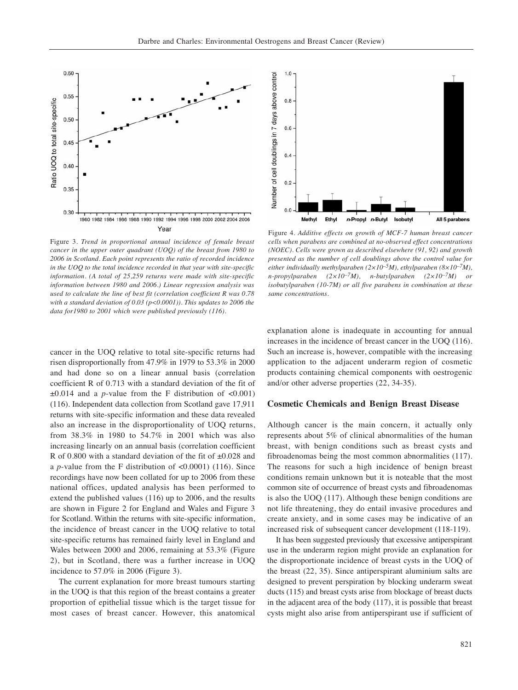

Figure 3. *Trend in proportional annual incidence of female breast cancer in the upper outer quadrant (UOQ) of the breast from 1980 to 2006 in Scotland. Each point represents the ratio of recorded incidence in the UOQ to the total incidence recorded in that year with site-specific information. (A total of 25,259 returns were made with site-specific information between 1980 and 2006.) Linear regression analysis was used to calculate the line of best fit (correlation coefficient R was 0.78 with a standard deviation of 0.03 (p<0.0001)). This updates to 2006 the data for1980 to 2001 which were published previously (116).*

cancer in the UOQ relative to total site-specific returns had risen disproportionally from 47.9% in 1979 to 53.3% in 2000 and had done so on a linear annual basis (correlation coefficient R of 0.713 with a standard deviation of the fit of  $\pm 0.014$  and a *p*-value from the F distribution of <0.001) (116). Independent data collection from Scotland gave 17,911 returns with site-specific information and these data revealed also an increase in the disproportionality of UOQ returns, from 38.3% in 1980 to 54.7% in 2001 which was also increasing linearly on an annual basis (correlation coefficient R of 0.800 with a standard deviation of the fit of  $\pm 0.028$  and a *p*-value from the F distribution of <0.0001) (116). Since recordings have now been collated for up to 2006 from these national offices, updated analysis has been performed to extend the published values (116) up to 2006, and the results are shown in Figure 2 for England and Wales and Figure 3 for Scotland. Within the returns with site-specific information, the incidence of breast cancer in the UOQ relative to total site-specific returns has remained fairly level in England and Wales between 2000 and 2006, remaining at 53.3% (Figure 2), but in Scotland, there was a further increase in UOQ incidence to 57.0% in 2006 (Figure 3).

The current explanation for more breast tumours starting in the UOQ is that this region of the breast contains a greater proportion of epithelial tissue which is the target tissue for most cases of breast cancer. However, this anatomical



Figure 4. *Additive effects on growth of MCF-7 human breast cancer cells when parabens are combined at no-observed effect concentrations (NOEC). Cells were grown as described elsewhere (91, 92) and growth presented as the number of cell doublings above the control value for either individually methylparaben (2×10–5M), ethylparaben (8×10–7M), n-propylparaben (2×10–7M), n-butylparaben (2×10–7M) or isobutylparaben (10-7M) or all five parabens in combination at these same concentrations.*

explanation alone is inadequate in accounting for annual increases in the incidence of breast cancer in the UOQ (116). Such an increase is, however, compatible with the increasing application to the adjacent underarm region of cosmetic products containing chemical components with oestrogenic and/or other adverse properties (22, 34-35).

#### **Cosmetic Chemicals and Benign Breast Disease**

Although cancer is the main concern, it actually only represents about 5% of clinical abnormalities of the human breast, with benign conditions such as breast cysts and fibroadenomas being the most common abnormalities (117). The reasons for such a high incidence of benign breast conditions remain unknown but it is noteable that the most common site of occurrence of breast cysts and fibroadenomas is also the UOQ (117). Although these benign conditions are not life threatening, they do entail invasive procedures and create anxiety, and in some cases may be indicative of an increased risk of subsequent cancer development (118-119).

It has been suggested previously that excessive antiperspirant use in the underarm region might provide an explanation for the disproportionate incidence of breast cysts in the UOQ of the breast (22, 35). Since antiperspirant aluminium salts are designed to prevent perspiration by blocking underarm sweat ducts (115) and breast cysts arise from blockage of breast ducts in the adjacent area of the body (117), it is possible that breast cysts might also arise from antiperspirant use if sufficient of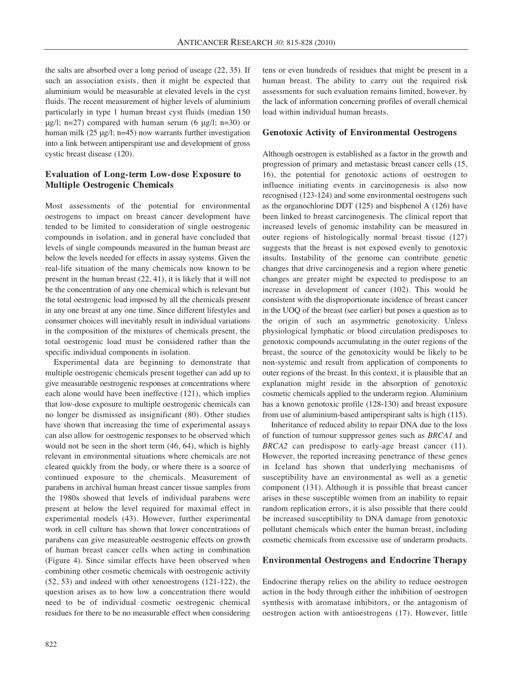the salts are absorbed over a long period of useage (22, 35). If such an association exists, then it might be expected that aluminium would be measurable at elevated levels in the cyst fluids. The recent measurement of higher levels of aluminium particularly in type 1 human breast cyst fluids (median 150 μg/l; n=27) compared with human serum (6 μg/l; n=30) or human milk (25 μg/l; n=45) now warrants further investigation into a link between antiperspirant use and development of gross cystic breast disease (120).

## **Evaluation of Long-term Low-dose Exposure to Multiple Oestrogenic Chemicals**

Most assessments of the potential for environmental oestrogens to impact on breast cancer development have tended to be limited to consideration of single oestrogenic compounds in isolation, and in general have concluded that levels of single compounds measured in the human breast are below the levels needed for effects in assay systems. Given the real-life situation of the many chemicals now known to be present in the human breast (22, 41), it is likely that it will not be the concentration of any one chemical which is relevant but the total oestrogenic load imposed by all the chemicals present in any one breast at any one time. Since different lifestyles and consumer choices will inevitably result in individual variations in the composition of the mixtures of chemicals present, the total oestrogenic load must be considered rather than the specific individual components in isolation.

Experimental data are beginning to demonstrate that multiple oestrogenic chemicals present together can add up to give measurable oestrogenic responses at concentrations where each alone would have been ineffective (121), which implies that low-dose exposure to multiple oestrogenic chemicals can no longer be dismissed as insignificant (80). Other studies have shown that increasing the time of experimental assays can also allow for oestrogenic responses to be observed which would not be seen in the short term (46, 64), which is highly relevant in environmental situations where chemicals are not cleared quickly from the body, or where there is a source of continued exposure to the chemicals. Measurement of parabens in archival human breast cancer tissue samples from the 1980s showed that levels of individual parabens were present at below the level required for maximal effect in experimental models (43). However, further experimental work in cell culture has shown that lower concentrations of parabens can give measureable oestrogenic effects on growth of human breast cancer cells when acting in combination (Figure 4). Since similar effects have been observed when combining other cosmetic chemicals with oestrogenic activity (52, 53) and indeed with other xenoestrogens (121-122), the question arises as to how low a concentration there would need to be of individual cosmetic oestrogenic chemical residues for there to be no measurable effect when considering tens or even hundreds of residues that might be present in a human breast. The ability to carry out the required risk assessments for such evaluation remains limited, however, by the lack of information concerning profiles of overall chemical load within individual human breasts.

## **Genotoxic Activity of Environmental Oestrogens**

Although oestrogen is established as a factor in the growth and progression of primary and metastasic breast cancer cells (15, 16), the potential for genotoxic actions of oestrogen to influence initiating events in carcinogenesis is also now recognised (123-124) and some environmental oestrogens such as the organochlorine DDT (125) and bisphenol A (126) have been linked to breast carcinogenesis. The clinical report that increased levels of genomic instability can be measured in outer regions of histologically normal breast tissue (127) suggests that the breast is not exposed evenly to genotoxic insults. Instability of the genome can contribute genetic changes that drive carcinogenesis and a region where genetic changes are greater might be expected to predispose to an increase in development of cancer (102). This would be consistent with the disproportionate incidence of breast cancer in the UOQ of the breast (see earlier) but poses a question as to the origin of such an asymmetric genotoxicity. Unless physiological lymphatic or blood circulation predisposes to genotoxic compounds accumulating in the outer regions of the breast, the source of the genotoxicity would be likely to be non-systemic and result from application of components to outer regions of the breast. In this context, it is plausible that an explanation might reside in the absorption of genotoxic cosmetic chemicals applied to the underarm region. Aluminium has a known genotoxic profile (128-130) and breast exposure from use of aluminium-based antiperspirant salts is high (115).

Inheritance of reduced ability to repair DNA due to the loss of function of tumour suppressor genes such as *BRCA1* and *BRCA2* can predispose to early-age breast cancer (11). However, the reported increasing penetrance of these genes in Iceland has shown that underlying mechanisms of susceptibility have an environmental as well as a genetic component (131). Although it is possible that breast cancer arises in these susceptible women from an inability to repair random replication errors, it is also possible that there could be increased susceptibility to DNA damage from genotoxic pollutant chemicals which enter the human breast, including cosmetic chemicals from excessive use of underarm products.

#### **Environmental Oestrogens and Endocrine Therapy**

Endocrine therapy relies on the ability to reduce oestrogen action in the body through either the inhibition of oestrogen synthesis with aromatase inhibitors, or the antagonism of oestrogen action with antioestrogens (17). However, little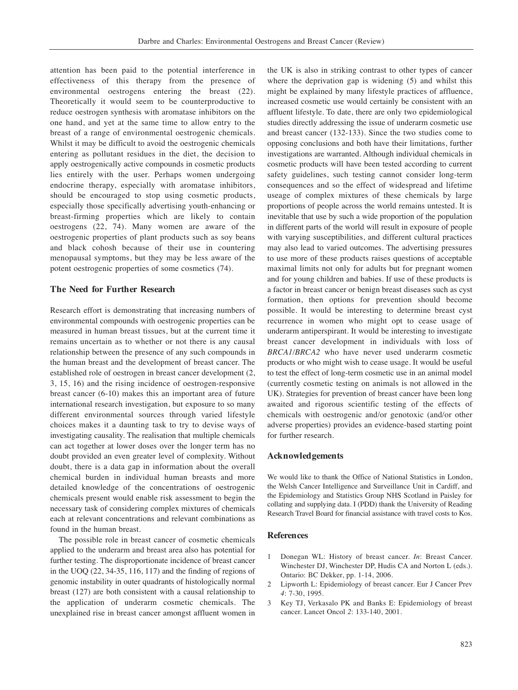attention has been paid to the potential interference in effectiveness of this therapy from the presence of environmental oestrogens entering the breast (22). Theoretically it would seem to be counterproductive to reduce oestrogen synthesis with aromatase inhibitors on the one hand, and yet at the same time to allow entry to the breast of a range of environmental oestrogenic chemicals. Whilst it may be difficult to avoid the oestrogenic chemicals entering as pollutant residues in the diet, the decision to apply oestrogenically active compounds in cosmetic products lies entirely with the user. Perhaps women undergoing endocrine therapy, especially with aromatase inhibitors, should be encouraged to stop using cosmetic products, especially those specifically advertising youth-enhancing or breast-firming properties which are likely to contain oestrogens (22, 74). Many women are aware of the oestrogenic properties of plant products such as soy beans and black cohosh because of their use in countering menopausal symptoms, but they may be less aware of the potent oestrogenic properties of some cosmetics (74).

## **The Need for Further Research**

Research effort is demonstrating that increasing numbers of environmental compounds with oestrogenic properties can be measured in human breast tissues, but at the current time it remains uncertain as to whether or not there is any causal relationship between the presence of any such compounds in the human breast and the development of breast cancer. The established role of oestrogen in breast cancer development (2, 3, 15, 16) and the rising incidence of oestrogen-responsive breast cancer (6-10) makes this an important area of future international research investigation, but exposure to so many different environmental sources through varied lifestyle choices makes it a daunting task to try to devise ways of investigating causality. The realisation that multiple chemicals can act together at lower doses over the longer term has no doubt provided an even greater level of complexity. Without doubt, there is a data gap in information about the overall chemical burden in individual human breasts and more detailed knowledge of the concentrations of oestrogenic chemicals present would enable risk assessment to begin the necessary task of considering complex mixtures of chemicals each at relevant concentrations and relevant combinations as found in the human breast.

The possible role in breast cancer of cosmetic chemicals applied to the underarm and breast area also has potential for further testing. The disproportionate incidence of breast cancer in the UOQ (22, 34-35, 116, 117) and the finding of regions of genomic instability in outer quadrants of histologically normal breast (127) are both consistent with a causal relationship to the application of underarm cosmetic chemicals. The unexplained rise in breast cancer amongst affluent women in the UK is also in striking contrast to other types of cancer where the deprivation gap is widening (5) and whilst this might be explained by many lifestyle practices of affluence, increased cosmetic use would certainly be consistent with an affluent lifestyle. To date, there are only two epidemiological studies directly addressing the issue of underarm cosmetic use and breast cancer (132-133). Since the two studies come to opposing conclusions and both have their limitations, further investigations are warranted. Although individual chemicals in cosmetic products will have been tested according to current safety guidelines, such testing cannot consider long-term consequences and so the effect of widespread and lifetime useage of complex mixtures of these chemicals by large proportions of people across the world remains untested. It is inevitable that use by such a wide proportion of the population in different parts of the world will result in exposure of people with varying susceptibilities, and different cultural practices may also lead to varied outcomes. The advertising pressures to use more of these products raises questions of acceptable maximal limits not only for adults but for pregnant women and for young children and babies. If use of these products is a factor in breast cancer or benign breast diseases such as cyst formation, then options for prevention should become possible. It would be interesting to determine breast cyst recurrence in women who might opt to cease usage of underarm antiperspirant. It would be interesting to investigate breast cancer development in individuals with loss of *BRCA1/BRCA2* who have never used underarm cosmetic products or who might wish to cease usage. It would be useful to test the effect of long-term cosmetic use in an animal model (currently cosmetic testing on animals is not allowed in the UK). Strategies for prevention of breast cancer have been long awaited and rigorous scientific testing of the effects of chemicals with oestrogenic and/or genotoxic (and/or other adverse properties) provides an evidence-based starting point for further research.

#### **Acknowledgements**

We would like to thank the Office of National Statistics in London, the Welsh Cancer Intelligence and Surveillance Unit in Cardiff, and the Epidemiology and Statistics Group NHS Scotland in Paisley for collating and supplying data. I (PDD) thank the University of Reading Research Travel Board for financial assistance with travel costs to Kos.

## **References**

- 1 Donegan WL: History of breast cancer. *In*: Breast Cancer. Winchester DJ, Winchester DP, Hudis CA and Norton L (eds.). Ontario: BC Dekker, pp. 1-14, 2006.
- 2 Lipworth L: Epidemiology of breast cancer. Eur J Cancer Prev *4*: 7-30, 1995.
- 3 Key TJ, Verkasalo PK and Banks E: Epidemiology of breast cancer. Lancet Oncol *2*: 133-140, 2001.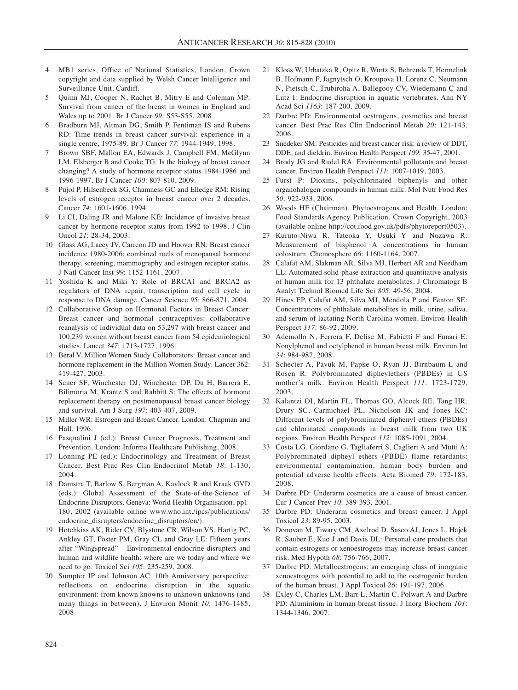- 4 MB1 series, Office of National Statistics, London, Crown copyright and data supplied by Welsh Cancer Intelligence and Surveillance Unit, Cardiff.
- 5 Quinn MJ, Cooper N, Rachet B, Mitry E and Coleman MP: Survival from cancer of the breast in women in England and Wales up to 2001. Br J Cancer *99*: S53-S55, 2008.
- 6 Bradburn MJ, Altman DG, Smith P, Fentiman IS and Rubens RD: Time trends in breast cancer survival: experience in a single centre, 1975-89. Br J Cancer *77*: 1944-1949, 1998.
- 7 Brown SBF, Mallon EA, Edwards J, Campbell FM, McGlynn LM, Elsberger B and Cooke TG: Is the biology of breast cancer changing? A study of hormone receptor status 1984-1986 and 1996-1997. Br J Cancer *100*: 807-810, 2009.
- 8 Pujol P, Hilsenbeck SG, Chamness GC and Elledge RM: Rising levels of estrogen receptor in breast cancer over 2 decades. Cancer *74*: 1601-1606, 1994.
- 9 Li CI, Daling JR and Malone KE: Incidence of invasive breast cancer by hormone receptor status from 1992 to 1998. J Clin Oncol *21*: 28-34, 2003.
- 10 Glass AG, Lacey JV, Carreon JD and Hoover RN: Breast cancer incidence 1980-2006: combined roels of menopausal hormone therapy, screening, mammography and estrogen receptor status. J Natl Cancer Inst *99*: 1152-1161, 2007.
- 11 Yoshida K and Miki Y: Role of BRCA1 and BRCA2 as regulators of DNA repair, transcription and cell cycle in response to DNA damage. Cancer Science *95*: 866-871, 2004.
- 12 Collaborative Group on Hormonal Factors in Breast Cancer: Breast cancer and hormonal contraceptives: collaborative reanalysis of individual data on 53,297 with breast cancer and 100,239 women without breast cancer from 54 epidemiological studies. Lancet *347*: 1713-1727, 1996.
- 13 Beral V, Million Women Study Collaborators: Breast cancer and hormone replacement in the Million Women Study. Lancet 362: 419-427, 2003.
- 14 Sener SF, Winchester DJ, Winchester DP, Du H, Barrera E, Bilimoria M, Krantz S and Rabbitt S: The effects of hormone replacement therapy on postmenopausal breast cancer biology and survival. Am J Surg *197*: 403-407, 2009.
- 15 Miller WR: Estrogen and Breast Cancer. London: Chapman and Hall, 1996.
- 16 Pasqualini J (ed.): Breast Cancer Prognosis, Treatment and Prevention. London: Informa Healthcare Publishing, 2008.
- 17 Lonning PE (ed.): Endocrinology and Treatment of Breast Cancer. Best Prac Res Clin Endocrinol Metab *18*: 1-130, 2004.
- 18 Damstra T, Barlow S, Bergman A, Kavlock R and Kraak GVD (eds.): Global Assessment of the State-of-the-Science of Endocrine Disruptors. Geneva: World Health Organisation, pp1- 180, 2002 (available online www.who.int./ipcs/publications/ endocrine\_disrupters/endocrine\_disruptors/en/).
- 19 Hotchkiss AK, Rider CV, Blystone CR, Wilson VS, Hartig PC, Ankley GT, Foster PM, Gray CL and Gray LE: Fifteen years after "Wingspread" – Environmental endocrine disrupters and human and wildlife health: where are we today and where we need to go. Toxicol Sci *105*: 235-259, 2008.
- 20 Sumpter JP and Johnson AC: 10th Anniversary perspective: reflections on endocrine disruption in the aquatic environment: from known knowns to unknown unknowns (and many things in between). J Environ Monit *10*: 1476-1485, 2008.
- 21 Kloas W, Urbatzka R, Opitz R, Wurtz S, Behrends T, Hermelink B, Hofmann F, Jagnytsch O, Kroupova H, Lorenz C, Neumann N, Pietsch C, Trubiroha A, Ballegooy CV, Wiedemann C and Lutz I: Endocrine disruption in aquatic vertebrates. Ann NY Acad Sci *1163*: 187-200, 2009.
- 22 Darbre PD: Environmental oestrogens, cosmetics and breast cancer. Best Prac Res Clin Endocrinol Metab *20*: 121-143, 2006.
- 23 Snedeker SM: Pesticides and breast cancer risk: a review of DDT, DDE, and dieldrin. Environ Health Perspect *109*: 35-47, 2001.
- 24 Brody JG and Rudel RA: Environmental pollutants and breast cancer. Environ Health Perspect *111*: 1007-1019, 2003.
- 25 Furst P: Dioxins, polychlorinated biphenyls and other organohalogen compounds in human milk. Mol Nutr Food Res *50*: 922-933, 2006.
- 26 Woods HF (Chairman). Phytoestrogens and Health. London: Food Standards Agency Publication. Crown Copyright, 2003 (available online http://cot.food.gov.uk/pdfs/phytoreport0503).
- 27 Kuruto-Niwa R, Tateoka Y, Usuki Y and Nozawa R: Measurement of bisphenol A concentrations in human colostrum. Chemosphere *66*: 1160-1164, 2007.
- 28 Calafat AM, Slakman AR, Silva MJ, Herbert AR and Needham LL: Automated solid-phase extraction and quantitative analysis of human milk for 13 phthalate metabolites. J Chromatogr B Analyt Technol Biomed Life Sci *805*: 49-56, 2004.
- 29 Hines EP, Calafat AM, Silva MJ, Mendola P and Fenton SE: Concentrations of phthalate metabolites in milk, urine, saliva, and serum of lactating North Carolina women. Environ Health Perspect *117*: 86-92, 2009.
- 30 Ademollo N, Ferrera F, Delise M, Fabietti F and Funari E: Nonylphenol and octylphenol in human breast milk. Environ Int *34*: 984-987, 2008.
- 31 Schecter A, Pavuk M, Papke O, Ryan JJ, Birnbaum L and Rosen R: Polybrominated dipheylethers (PBDEs) in US mother's milk. Environ Health Perspect *111*: 1723-1729, 2003.
- 32 Kalantzi OI, Martin FL, Thomas GO, Alcock RE, Tang HR, Drury SC, Carmichael PL, Nicholson JK and Jones KC: Different levels of polybrominated diphenyl ethers (PBDEs) and chlorinated compounds in breast milk from two UK regions. Environ Health Perspect *112*: 1085-1091, 2004.
- 33 Costa LG, Giordano G, Tagliaferri S, Caglieri A and Mutti A: Polybrominated dipheyl ethers (PBDE) flame retardants: environmental contamination, human body burden and potential adverse health effects. Acta Biomed *79*: 172-183, 2008.
- 34 Darbre PD: Underarm cosmetics are a cause of breast cancer. Eur J Cancer Prev *10*: 389-393, 2001.
- 35 Darbre PD: Underarm cosmetics and breast cancer. J Appl Toxicol *23*: 89-95, 2003.
- 36 Donovan M, Tiwary CM, Axelrod D, Sasco AJ, Jones L, Hajek R, Sauber E, Kuo J and Davis DL: Personal care products that contain estrogens or xenoestrogens may increase breast cancer risk. Med Hypoth *68*: 756-766, 2007.
- 37 Darbre PD: Metalloestrogens: an emerging class of inorganic xenoestrogens with potential to add to the oestrogenic burden of the human breast. J Appl Toxicol *26*: 191-197, 2006.
- 38 Exley C, Charles LM, Barr L, Martin C, Polwart A and Darbre PD: Aluminium in human breast tissue. J Inorg Biochem *101*: 1344-1346, 2007.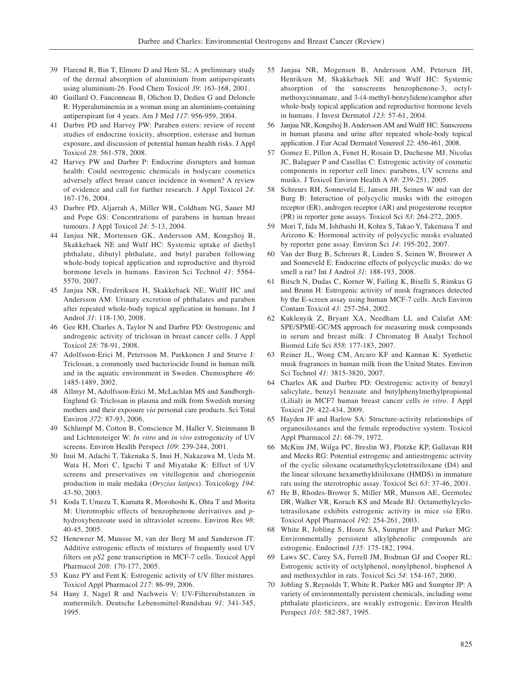- 39 Flarend R, Bin T, Elmore D and Hem SL: A preliminary study of the dermal absorption of aluminium from antiperspirants using aluminium-26. Food Chem Toxicol *39*: 163-168, 2001.
- 40 Guillard O, Fauconneau B, Olichon D, Dedieu G and Deloncle R: Hyperaluminemia in a woman using an aluminium-containing antiperspirant for 4 years. Am J Med *117*: 956-959, 2004.
- 41 Darbre PD and Harvey PW: Paraben esters: review of recent studies of endocrine toxicity, absorption, esterase and human exposure, and discussion of potential human health risks. J Appl Toxicol *28*: 561-578, 2008.
- 42 Harvey PW and Darbre P: Endocrine disrupters and human health: Could oestrogenic chemicals in bodycare cosmetics adversely affect breast cancer incidence in women? A review of evidence and call for further research. J Appl Toxicol *24*: 167-176, 2004.
- 43 Darbre PD, Aljarrah A, Miller WR, Coldham NG, Sauer MJ and Pope GS: Concentrations of parabens in human breast tumours. J Appl Toxicol *24*: 5-13, 2004.
- 44 Janjua NR, Mortensen GK, Andersson AM, Kongshoj B, Skakkebaek NE and Wulf HC: Systemic uptake of diethyl phthalate, dibutyl phthalate, and butyl paraben following whole-body topical application and reproductive and thyroid hormone levels in humans. Environ Sci Technol *41*: 5564- 5570, 2007.
- 45 Janjua NR, Frederiksen H, Skakkebaek NE, Wulff HC and Andersson AM: Urinary excretion of phthalates and paraben after repeated whole-body topical application in humans. Int J Androl *31*: 118-130, 2008.
- 46 Gee RH, Charles A, Taylor N and Darbre PD: Oestrogenic and androgenic activity of triclosan in breast cancer cells. J Appl Toxicol *28*: 78-91, 2008.
- 47 Adolfsson-Erici M, Petersson M, Parkkonen J and Sturve J: Triclosan, a commonly used bacteriocide found in human milk and in the aquatic environment in Sweden. Chemosphere *46*: 1485-1489, 2002.
- 48 Allmyr M, Adolfsson-Erici M, McLachlan MS and Sandborgh-Englund G: Triclosan in plasma and milk from Swedish nursing mothers and their exposure *via* personal care products. Sci Total Environ *372*: 87-93, 2006.
- 49 Schlumpf M, Cotton B, Conscience M, Haller V, Steinmann B and Lichtensteiger W: *In vitro* and *in vivo* estrogenicity of UV screens. Environ Health Perspect *109*: 239-244, 2001.
- 50 Inui M, Adachi T, Takenaka S, Inui H, Nakazawa M, Ueda M, Wata H, Mori C, Iguchi T and Miyatake K: Effect of UV screens and preservatives on vitellogenin and choriogenin production in male medaka (*Oryzias latipes*). Toxicology *194*: 43-50, 2003.
- 51 Koda T, Umezu T, Kamata R, Morohoshi K, Ohta T and Morita M: Uterotrophic effects of benzophenone derivatives and *p*hydroxybenzoate used in ultraviolet screens. Environ Res *98*: 40-45, 2005.
- 52 Heneweer M, Muusse M, van der Berg M and Sanderson JT: Additive estrogenic effects of mixtures of frequently used UV filters on *pS2* gene transcription in MCF-7 cells. Toxicol Appl Pharmacol *208*: 170-177, 2005.
- 53 Kunz PY and Fent K: Estrogenic activity of UV filter mixtures. Toxicol Appl Pharmacol *217*: 86-99, 2006.
- 54 Hany J, Nagel R and Nachweis V: UV-Filtersubstanzen in muttermilch. Deutsche Lebensmittel-Rundshau *91*: 341-345, 1995.
- 55 Janjua NR, Mogensen B, Andersson AM, Petersen JH, Henriksen M, Skakkebaek NE and Wulf HC: Systemic absorption of the sunscreens benzophenone-3, octylmethoxycinnamate, and 3-(4-methyl-benzylidene)camphor after whole-body topical application and reproductive hormone levels in humans. J Invest Dermatol *123*: 57-61, 2004.
- 56 Janjua NR, Kongshoj B, Andersson AM and Wulff HC: Sunscreens in human plasma and urine after repeated whole-body topical application. J Eur Acad Dermatol Venereol *22*: 456-461, 2008.
- 57 Gomez E, Pillon A, Fenet H, Rosain D, Duchesne MJ, Nicolas JC, Balaguer P and Casellas C: Estrogenic activity of cosmetic components in reporter cell lines: parabens, UV screens and musks. J Toxicol Environ Health A *68*: 239-251, 2005.
- 58 Schreurs RH, Sonneveld E, Jansen JH, Seinen W and van der Burg B: Interaction of polycyclic musks with the estrogen receptor (ER), androgen receptor (AR) and progesterone receptor (PR) in reporter gene assays. Toxicol Sci *83*: 264-272, 2005.
- 59 Mori T, Iida M, Ishibashi H, Kohra S, Takao Y, Takemasa T and Arizono K: Hormonal activity of polycyclic musks evaluated by reporter gene assay. Environ Sci *14*: 195-202, 2007.
- 60 Van der Burg B, Schreurs R, Linden S, Seinen W, Brouwer A and Sonneveld E: Endocrine effects of polycyclic musks: do we smell a rat? Int J Androl *31*: 188-193, 2008.
- 61 Bitsch N, Dudas C, Korner W, Failing K, Biselli S, Rimkus G and Brunn H: Estrogenic activity of musk fragrances detected by the E-screen assay using human MCF-7 cells. Arch Environ Contam Toxicol *43*: 257-264, 2002.
- 62 Kuklenyik Z, Bryant XA, Needham LL and Calafat AM: SPE/SPME-GC/MS approach for measuring musk compounds in serum and breast milk. J Chromatog B Analyt Technol Biomed Life Sci *858*: 177-183, 2007.
- 63 Reiner JL, Wong CM, Arcaro KF and Kannan K: Synthetic musk fragrances in human milk from the United States. Environ Sci Technol *41*: 3815-3820, 2007.
- 64 Charles AK and Darbre PD: Oestrogenic activity of benzyl salicylate, benzyl benzoate and butylphenylmethylpropional (Lilial) in MCF7 human breast cancer cells *in vitro*. J Appl Toxicol *29*: 422-434, 2009.
- 65 Hayden JF and Barlow SA: Structure-activity relationships of organosiloxanes and the female reproductive system. Toxicol Appl Pharmacol *21*: 68-79, 1972.
- 66 McKim JM, Wilga PC, Breslin WJ, Plotzke KP, Gallavan RH and Meeks RG: Potential estrogenic and antiestrogenic activity of the cyclic siloxane ocatamethylcyclotetrasiloxane (D4) and the linear siloxane hexamethyldisiloxane (HMDS) in immature rats using the uterotrophic assay. Toxicol Sci *63*: 37-46, 2001.
- 67 He B, Rhodes-Brower S, Miller MR, Munson AE, Germolec DR, Walker VR, Korach KS and Meade BJ: Octamethylcyclotetrasiloxane exhibits estrogenic activity in mice *via* ERα. Toxicol Appl Pharmacol *192*: 254-261, 2003.
- 68 White R, Jobling S, Hoare SA, Sumpter JP and Parker MG: Environmentally persistent alkylphenolic compounds are estrogenic. Endocrinol *135*: 175-182, 1994.
- 69 Laws SC, Carey SA, Ferrell JM, Bodman GJ and Cooper RL: Estrogenic activity of octylphenol, nonylphenol, bisphenol A and methoxychlor in rats. Toxicol Sci *54*: 154-167, 2000.
- 70 Jobling S, Reynolds T, White R, Parker MG and Sumpter JP: A variety of environmentally persistent chemicals, including some phthalate plasticizers, are weakly estrogenic. Environ Health Perspect *103*: 582-587, 1995.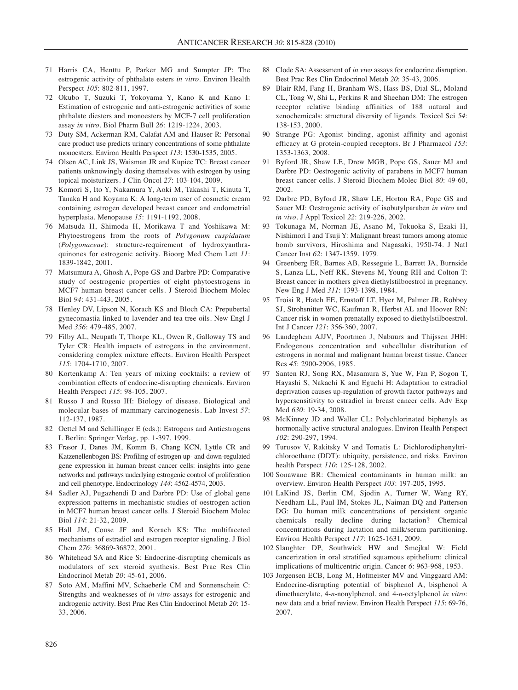- 71 Harris CA, Henttu P, Parker MG and Sumpter JP: The estrogenic activity of phthalate esters *in vitro*. Environ Health Perspect *105*: 802-811, 1997.
- 72 Okubo T, Suzuki T, Yokoyama Y, Kano K and Kano I: Estimation of estrogenic and anti-estrogenic activities of some phthalate diesters and monoesters by MCF-7 cell proliferation assay *in vitro*. Biol Pharm Bull *26*: 1219-1224, 2003.
- 73 Duty SM, Ackerman RM, Calafat AM and Hauser R: Personal care product use predicts urinary concentrations of some phthalate monoesters. Environ Health Perspect *113*: 1530-1535, 2005.
- 74 Olsen AC, Link JS, Waisman JR and Kupiec TC: Breast cancer patients unknowingly dosing themselves with estrogen by using topical moisturizers. J Clin Oncol *27*: 103-104, 2009.
- 75 Komori S, Ito Y, Nakamura Y, Aoki M, Takashi T, Kinuta T, Tanaka H and Koyama K: A long-term user of cosmetic cream containing estrogen developed breast cancer and endometrial hyperplasia. Menopause *15*: 1191-1192, 2008.
- 76 Matsuda H, Shimoda H, Morikawa T and Yoshikawa M: Phytoestrogens from the roots of *Polygonum cuspidatum* (*Polygonaceae*): structure-requirement of hydroxyanthraquinones for estrogenic activity. Bioorg Med Chem Lett *11*: 1839-1842, 2001.
- 77 Matsumura A, Ghosh A, Pope GS and Darbre PD: Comparative study of oestrogenic properties of eight phytoestrogens in MCF7 human breast cancer cells. J Steroid Biochem Molec Biol *94*: 431-443, 2005.
- 78 Henley DV, Lipson N, Korach KS and Bloch CA: Prepubertal gynecomastia linked to lavender and tea tree oils. New Engl J Med *356*: 479-485, 2007.
- 79 Filby AL, Neupath T, Thorpe KL, Owen R, Galloway TS and Tyler CR: Health impacts of estrogens in the environment, considering complex mixture effects. Environ Health Perspect *115*: 1704-1710, 2007.
- 80 Kortenkamp A: Ten years of mixing cocktails: a review of combination effects of endocrine-disrupting chemicals. Environ Health Perspect *115*: 98-105, 2007.
- 81 Russo J and Russo IH: Biology of disease. Biological and molecular bases of mammary carcinogenesis. Lab Invest *57*: 112-137, 1987.
- 82 Oettel M and Schillinger E (eds.): Estrogens and Antiestrogens I. Berlin: Springer Verlag, pp. 1-397, 1999.
- 83 Frasor J, Danes JM, Komm B, Chang KCN, Lyttle CR and Katzenellenbogen BS: Profiling of estrogen up- and down-regulated gene expression in human breast cancer cells: insights into gene networks and pathways underlying estrogenic control of proliferation and cell phenotype. Endocrinology *144*: 4562-4574, 2003.
- 84 Sadler AJ, Pugazhendi D and Darbre PD: Use of global gene expression patterns in mechanistic studies of oestrogen action in MCF7 human breast cancer cells. J Steroid Biochem Molec Biol *114*: 21-32, 2009.
- 85 Hall JM, Couse JF and Korach KS: The multifaceted mechanisms of estradiol and estrogen receptor signaling. J Biol Chem *276*: 36869-36872, 2001.
- 86 Whitehead SA and Rice S: Endocrine-disrupting chemicals as modulators of sex steroid synthesis. Best Prac Res Clin Endocrinol Metab *20*: 45-61, 2006.
- 87 Soto AM, Maffini MV, Schaeberle CM and Sonnenschein C: Strengths and weaknesses of *in vitro* assays for estrogenic and androgenic activity. Best Prac Res Clin Endocrinol Metab *20*: 15- 33, 2006.
- 88 Clode SA: Assessment of *in vivo* assays for endocrine disruption. Best Prac Res Clin Endocrinol Metab *20*: 35-43, 2006.
- 89 Blair RM, Fang H, Branham WS, Hass BS, Dial SL, Moland CL, Tong W, Shi L, Perkins R and Sheehan DM: The estrogen receptor relative binding affinities of 188 natural and xenochemicals: structural diversity of ligands. Toxicol Sci *54*: 138-153, 2000.
- 90 Strange PG: Agonist binding, agonist affinity and agonist efficacy at G protein-coupled receptors. Br J Pharmacol *153*: 1353-1363, 2008.
- 91 Byford JR, Shaw LE, Drew MGB, Pope GS, Sauer MJ and Darbre PD: Oestrogenic activity of parabens in MCF7 human breast cancer cells. J Steroid Biochem Molec Biol *80*: 49-60, 2002.
- 92 Darbre PD, Byford JR, Shaw LE, Horton RA, Pope GS and Sauer MJ: Oestrogenic activity of isobutylparaben *in vitro* and *in vivo*. J Appl Toxicol *22*: 219-226, 2002.
- 93 Tokunaga M, Norman JE, Asano M, Tokuoka S, Ezaki H, Nishimori I and Tsuji Y: Malignant breast tumors among atomic bomb survivors, Hiroshima and Nagasaki, 1950-74. J Natl Cancer Inst *62*: 1347-1359, 1979.
- 94 Greenberg ER, Barnes AB, Resseguie L, Barrett JA, Burnside S, Lanza LL, Neff RK, Stevens M, Young RH and Colton T: Breast cancer in mothers given diethylstilboestrol in pregnancy. New Eng J Med *311*: 1393-1398, 1984.
- 95 Troisi R, Hatch EE, Ernstoff LT, Hyer M, Palmer JR, Robboy SJ, Strohsnitter WC, Kaufman R, Herbst AL and Hoover RN: Cancer risk in women prenatally exposed to diethylstilboestrol. Int J Cancer *121*: 356-360, 2007.
- 96 Landeghem AJJV, Poortmen J, Nabuurs and Thijssen JHH: Endogenous concentration and subcellular distribution of estrogens in normal and malignant human breast tissue. Cancer Res *45*: 2900-2906, 1985.
- 97 Santen RJ, Song RX, Masamura S, Yue W, Fan P, Sogon T, Hayashi S, Nakachi K and Eguchi H: Adaptation to estradiol deprivation causes up-regulation of growth factor pathways and hypersensitivity to estradiol in breast cancer cells. Adv Exp Med *630*: 19-34, 2008.
- 98 McKinney JD and Waller CL: Polychlorinated biphenyls as hormonally active structural analogues. Environ Health Perspect *102*: 290-297, 1994.
- 99 Turusov V, Rakitsky V and Tomatis L: Dichlorodiphenyltrichloroethane (DDT): ubiquity, persistence, and risks. Environ health Perspect *110*: 125-128, 2002.
- 100 Sonawane BR: Chemical contaminants in human milk: an overview. Environ Health Perspect *103*: 197-205, 1995.
- 101 LaKind JS, Berlin CM, Sjodin A, Turner W, Wang RY, Needham LL, Paul IM, Stokes JL, Naiman DQ and Patterson DG: Do human milk concentrations of persistent organic chemicals really decline during lactation? Chemical concentrations during lactation and milk/serum partitioning. Environ Health Perspect *117*: 1625-1631, 2009.
- 102 Slaughter DP, Southwick HW and Smejkal W: Field cancerization in oral stratified squamous epithelium: clinical implications of multicentric origin. Cancer *6*: 963-968, 1953.
- 103 Jorgensen ECB, Long M, Hofmeister MV and Vinggaard AM: Endocrine-disrupting potential of bisphenol A, bisphenol A dimethacrylate, 4-*n*-nonylphenol, and 4-*n*-octylphenol *in vitro*: new data and a brief review. Environ Health Perspect *115*: 69-76, 2007.